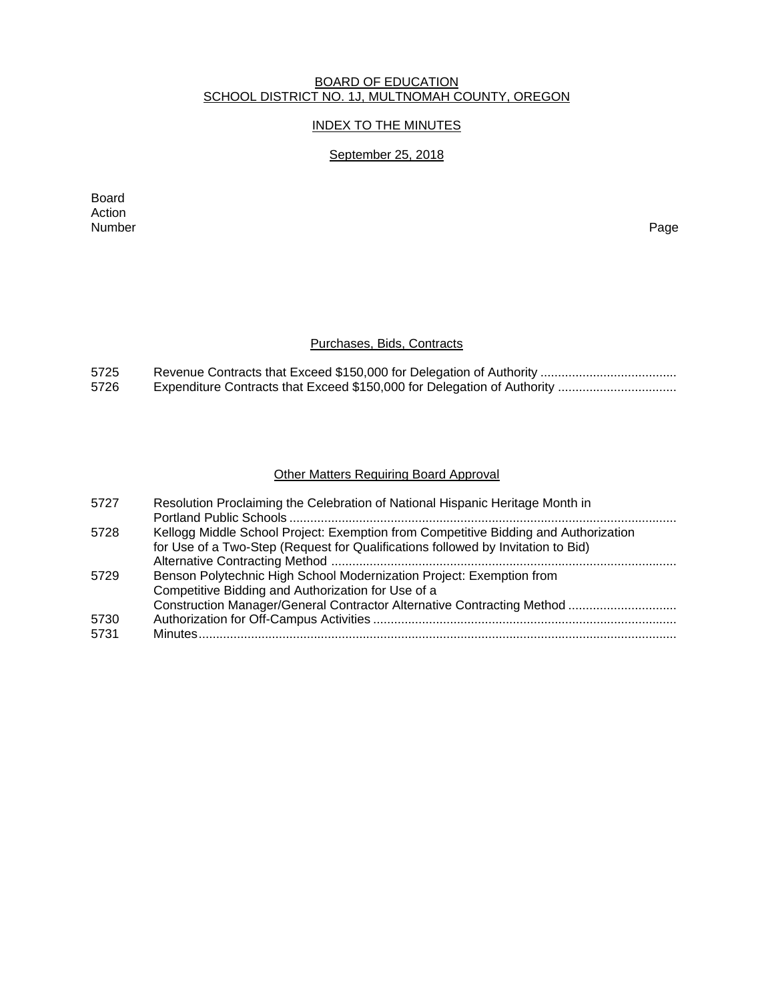#### BOARD OF EDUCATION SCHOOL DISTRICT NO. 1J, MULTNOMAH COUNTY, OREGON

## INDEX TO THE MINUTES

# September 25, 2018

Board Action<br>Number Number Page

# Purchases, Bids, Contracts

| 5725 |  |
|------|--|
| 5726 |  |

# Other Matters Requiring Board Approval

| 5727 | Resolution Proclaiming the Celebration of National Hispanic Heritage Month in       |
|------|-------------------------------------------------------------------------------------|
|      |                                                                                     |
| 5728 | Kellogg Middle School Project: Exemption from Competitive Bidding and Authorization |
|      | for Use of a Two-Step (Request for Qualifications followed by Invitation to Bid)    |
|      |                                                                                     |
| 5729 | Benson Polytechnic High School Modernization Project: Exemption from                |
|      | Competitive Bidding and Authorization for Use of a                                  |
|      | Construction Manager/General Contractor Alternative Contracting Method              |
| 5730 |                                                                                     |
| 5731 |                                                                                     |
|      |                                                                                     |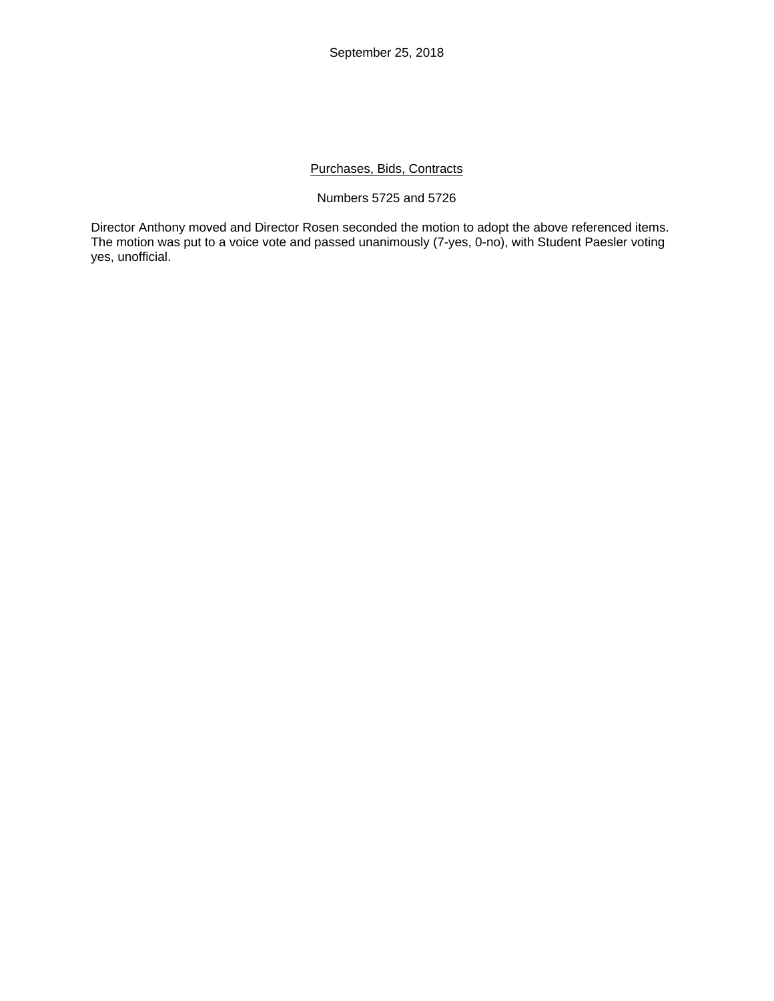September 25, 2018

## Purchases, Bids, Contracts

#### Numbers 5725 and 5726

Director Anthony moved and Director Rosen seconded the motion to adopt the above referenced items. The motion was put to a voice vote and passed unanimously (7-yes, 0-no), with Student Paesler voting yes, unofficial.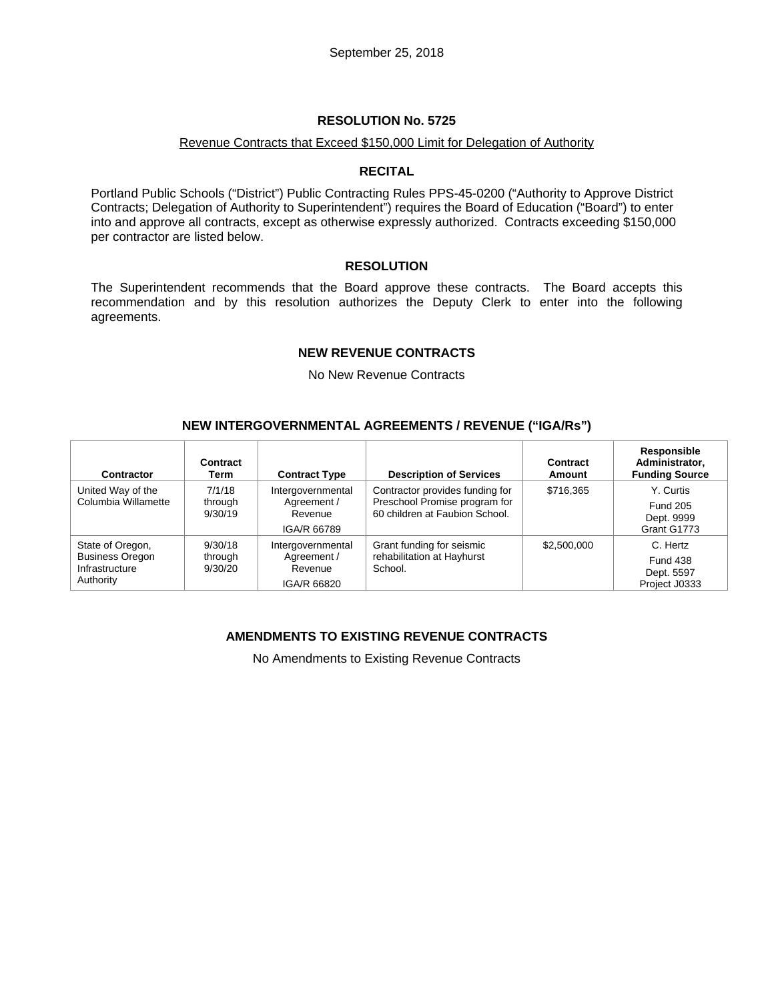#### Revenue Contracts that Exceed \$150,000 Limit for Delegation of Authority

#### **RECITAL**

Portland Public Schools ("District") Public Contracting Rules PPS-45-0200 ("Authority to Approve District Contracts; Delegation of Authority to Superintendent") requires the Board of Education ("Board") to enter into and approve all contracts, except as otherwise expressly authorized. Contracts exceeding \$150,000 per contractor are listed below.

#### **RESOLUTION**

The Superintendent recommends that the Board approve these contracts. The Board accepts this recommendation and by this resolution authorizes the Deputy Clerk to enter into the following agreements.

#### **NEW REVENUE CONTRACTS**

No New Revenue Contracts

#### **NEW INTERGOVERNMENTAL AGREEMENTS / REVENUE ("IGA/Rs")**

| Contract<br>Term | <b>Contract Type</b> | <b>Description of Services</b>                       | Contract<br>Amount                                                                                       | Responsible<br>Administrator,<br><b>Funding Source</b> |
|------------------|----------------------|------------------------------------------------------|----------------------------------------------------------------------------------------------------------|--------------------------------------------------------|
| 7/1/18           | Intergovernmental    | Contractor provides funding for                      | \$716.365                                                                                                | Y. Curtis                                              |
| 9/30/19          | Revenue              |                                                      |                                                                                                          | <b>Fund 205</b>                                        |
|                  | IGA/R 66789          |                                                      |                                                                                                          | Dept. 9999<br>Grant G1773                              |
| 9/30/18          | Intergovernmental    | Grant funding for seismic                            | \$2,500,000                                                                                              | C. Hertz                                               |
| through          |                      |                                                      |                                                                                                          | <b>Fund 438</b>                                        |
|                  |                      |                                                      |                                                                                                          | Dept. 5597<br>Project J0333                            |
|                  | through<br>9/30/20   | Agreement /<br>Agreement /<br>Revenue<br>IGA/R 66820 | Preschool Promise program for<br>60 children at Faubion School.<br>rehabilitation at Hayhurst<br>School. |                                                        |

### **AMENDMENTS TO EXISTING REVENUE CONTRACTS**

No Amendments to Existing Revenue Contracts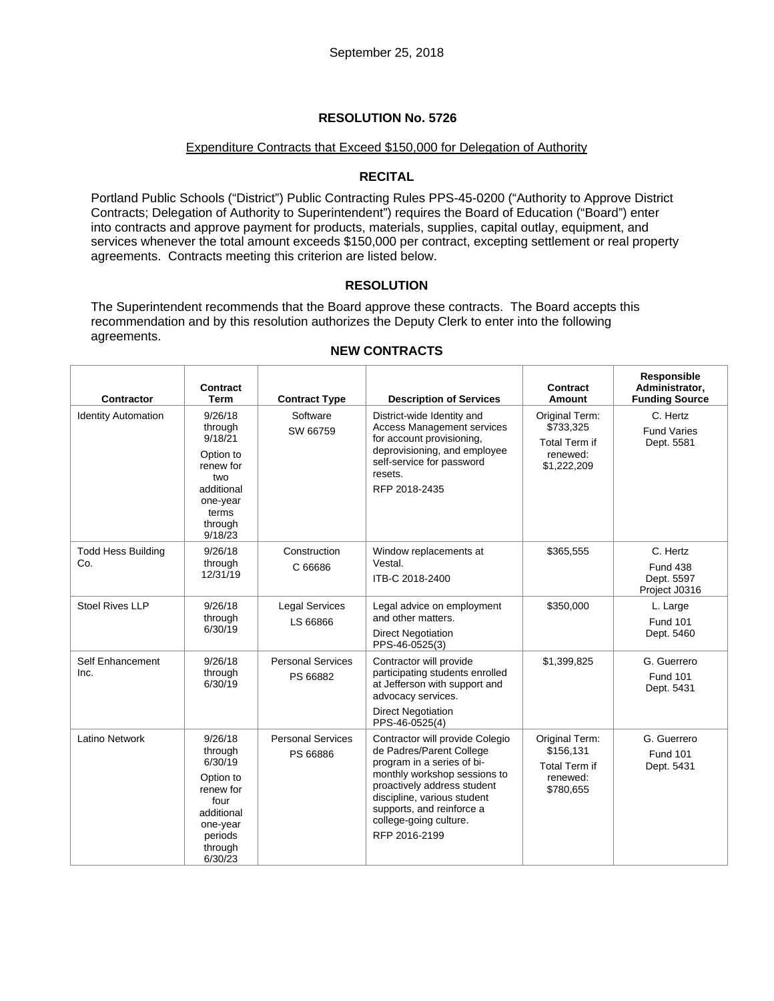#### Expenditure Contracts that Exceed \$150,000 for Delegation of Authority

### **RECITAL**

Portland Public Schools ("District") Public Contracting Rules PPS-45-0200 ("Authority to Approve District Contracts; Delegation of Authority to Superintendent") requires the Board of Education ("Board") enter into contracts and approve payment for products, materials, supplies, capital outlay, equipment, and services whenever the total amount exceeds \$150,000 per contract, excepting settlement or real property agreements. Contracts meeting this criterion are listed below.

### **RESOLUTION**

The Superintendent recommends that the Board approve these contracts. The Board accepts this recommendation and by this resolution authorizes the Deputy Clerk to enter into the following agreements.

| Contractor                       | <b>Contract</b><br><b>Term</b>                                                                                             | <b>Contract Type</b>                 | <b>Description of Services</b>                                                                                                                                                                                                                                  | Contract<br><b>Amount</b>                                                      | Responsible<br>Administrator,<br><b>Funding Source</b>     |
|----------------------------------|----------------------------------------------------------------------------------------------------------------------------|--------------------------------------|-----------------------------------------------------------------------------------------------------------------------------------------------------------------------------------------------------------------------------------------------------------------|--------------------------------------------------------------------------------|------------------------------------------------------------|
| <b>Identity Automation</b>       | 9/26/18<br>through<br>9/18/21<br>Option to<br>renew for<br>two<br>additional<br>one-year<br>terms<br>through<br>9/18/23    | Software<br>SW 66759                 | District-wide Identity and<br><b>Access Management services</b><br>for account provisioning,<br>deprovisioning, and employee<br>self-service for password<br>resets.<br>RFP 2018-2435                                                                           | Original Term:<br>\$733,325<br><b>Total Term if</b><br>renewed:<br>\$1,222,209 | C. Hertz<br><b>Fund Varies</b><br>Dept. 5581               |
| <b>Todd Hess Building</b><br>Co. | 9/26/18<br>through<br>12/31/19                                                                                             | Construction<br>C 66686              | Window replacements at<br>Vestal.<br>ITB-C 2018-2400                                                                                                                                                                                                            | \$365,555                                                                      | C. Hertz<br><b>Fund 438</b><br>Dept. 5597<br>Project J0316 |
| <b>Stoel Rives LLP</b>           | 9/26/18<br>through<br>6/30/19                                                                                              | <b>Legal Services</b><br>LS 66866    | Legal advice on employment<br>and other matters.<br><b>Direct Negotiation</b><br>PPS-46-0525(3)                                                                                                                                                                 | \$350.000                                                                      | L. Large<br><b>Fund 101</b><br>Dept. 5460                  |
| Self Enhancement<br>Inc.         | 9/26/18<br>through<br>6/30/19                                                                                              | <b>Personal Services</b><br>PS 66882 | Contractor will provide<br>participating students enrolled<br>at Jefferson with support and<br>advocacy services.<br><b>Direct Negotiation</b><br>PPS-46-0525(4)                                                                                                | \$1,399,825                                                                    | G. Guerrero<br><b>Fund 101</b><br>Dept. 5431               |
| Latino Network                   | 9/26/18<br>through<br>6/30/19<br>Option to<br>renew for<br>four<br>additional<br>one-year<br>periods<br>through<br>6/30/23 | <b>Personal Services</b><br>PS 66886 | Contractor will provide Colegio<br>de Padres/Parent College<br>program in a series of bi-<br>monthly workshop sessions to<br>proactively address student<br>discipline, various student<br>supports, and reinforce a<br>college-going culture.<br>RFP 2016-2199 | Original Term:<br>\$156,131<br><b>Total Term if</b><br>renewed:<br>\$780,655   | G. Guerrero<br><b>Fund 101</b><br>Dept. 5431               |

#### **NEW CONTRACTS**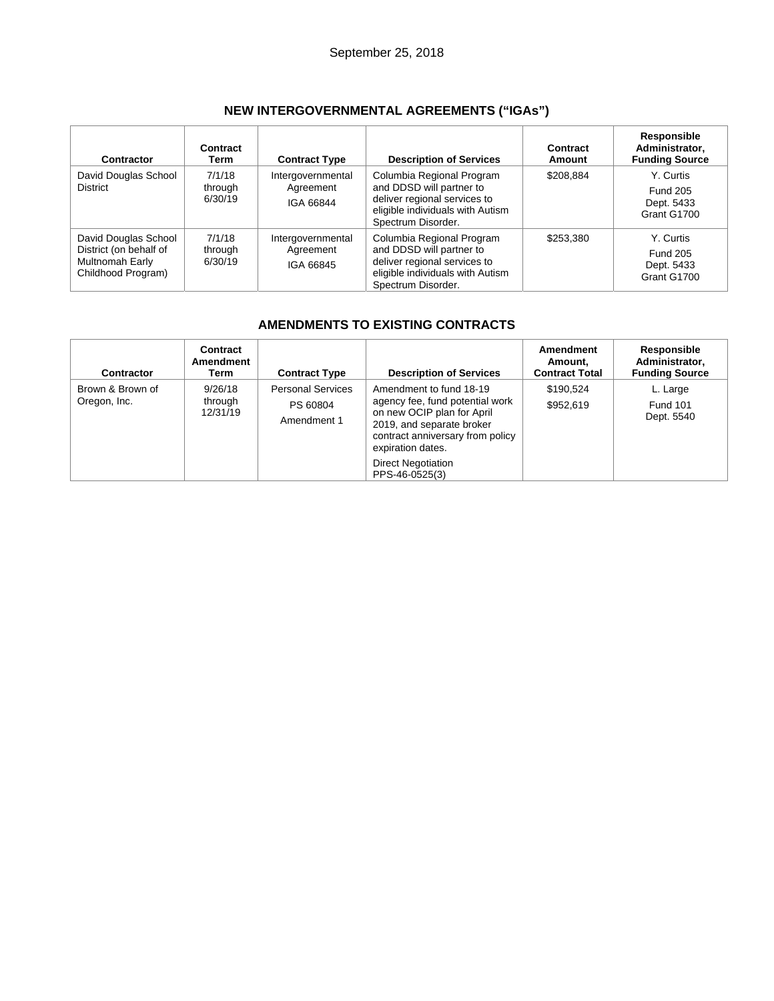| Contractor                                                                              | Contract<br>Term             | <b>Contract Type</b>                        | <b>Description of Services</b>                                                                                                                  | Contract<br>Amount | Responsible<br>Administrator,<br><b>Funding Source</b>    |
|-----------------------------------------------------------------------------------------|------------------------------|---------------------------------------------|-------------------------------------------------------------------------------------------------------------------------------------------------|--------------------|-----------------------------------------------------------|
| David Douglas School<br><b>District</b>                                                 | 7/1/18<br>through<br>6/30/19 | Intergovernmental<br>Agreement<br>IGA 66844 | Columbia Regional Program<br>and DDSD will partner to<br>deliver regional services to<br>eligible individuals with Autism<br>Spectrum Disorder. | \$208,884          | Y. Curtis<br><b>Fund 205</b><br>Dept. 5433<br>Grant G1700 |
| David Douglas School<br>District (on behalf of<br>Multnomah Early<br>Childhood Program) | 7/1/18<br>through<br>6/30/19 | Intergovernmental<br>Agreement<br>IGA 66845 | Columbia Regional Program<br>and DDSD will partner to<br>deliver regional services to<br>eligible individuals with Autism<br>Spectrum Disorder. | \$253,380          | Y. Curtis<br><b>Fund 205</b><br>Dept. 5433<br>Grant G1700 |

# **AMENDMENTS TO EXISTING CONTRACTS**

| <b>Contractor</b>                | Contract<br>Amendment<br>Term  | <b>Contract Type</b>                                | <b>Description of Services</b>                                                                                                                                                                                                | Amendment<br>Amount.<br><b>Contract Total</b> | Responsible<br>Administrator,<br><b>Funding Source</b> |
|----------------------------------|--------------------------------|-----------------------------------------------------|-------------------------------------------------------------------------------------------------------------------------------------------------------------------------------------------------------------------------------|-----------------------------------------------|--------------------------------------------------------|
| Brown & Brown of<br>Oregon, Inc. | 9/26/18<br>through<br>12/31/19 | <b>Personal Services</b><br>PS 60804<br>Amendment 1 | Amendment to fund 18-19<br>agency fee, fund potential work<br>on new OCIP plan for April<br>2019, and separate broker<br>contract anniversary from policy<br>expiration dates.<br><b>Direct Negotiation</b><br>PPS-46-0525(3) | \$190.524<br>\$952,619                        | L. Large<br><b>Fund 101</b><br>Dept. 5540              |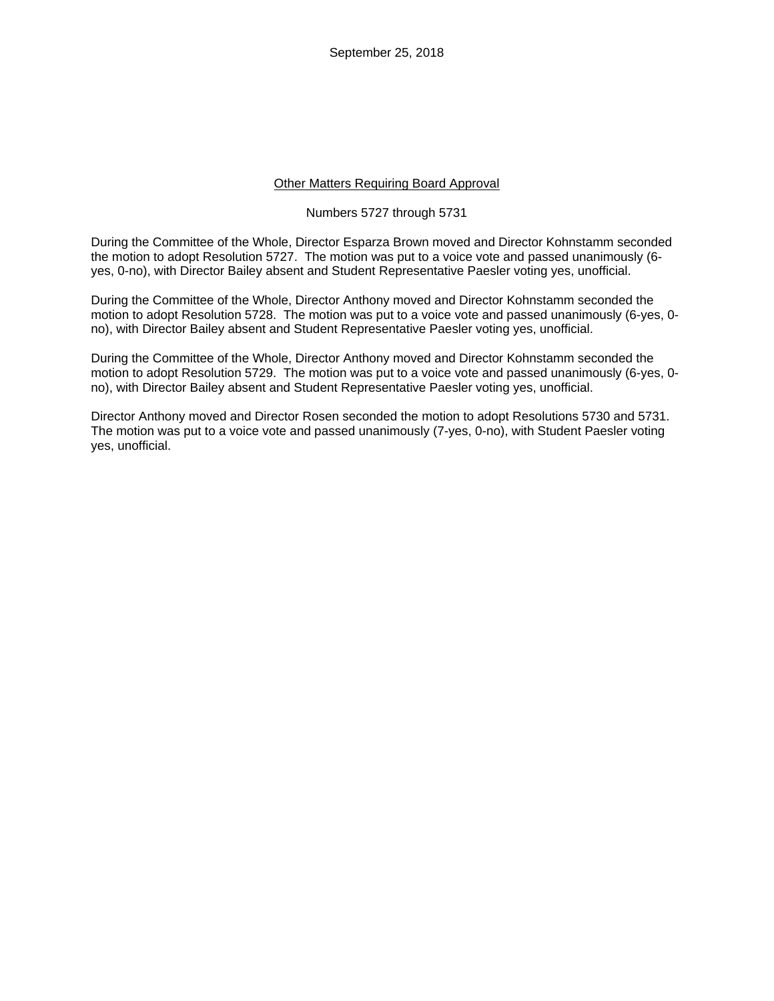September 25, 2018

#### Other Matters Requiring Board Approval

#### Numbers 5727 through 5731

During the Committee of the Whole, Director Esparza Brown moved and Director Kohnstamm seconded the motion to adopt Resolution 5727. The motion was put to a voice vote and passed unanimously (6 yes, 0-no), with Director Bailey absent and Student Representative Paesler voting yes, unofficial.

During the Committee of the Whole, Director Anthony moved and Director Kohnstamm seconded the motion to adopt Resolution 5728. The motion was put to a voice vote and passed unanimously (6-yes, 0 no), with Director Bailey absent and Student Representative Paesler voting yes, unofficial.

During the Committee of the Whole, Director Anthony moved and Director Kohnstamm seconded the motion to adopt Resolution 5729. The motion was put to a voice vote and passed unanimously (6-yes, 0 no), with Director Bailey absent and Student Representative Paesler voting yes, unofficial.

Director Anthony moved and Director Rosen seconded the motion to adopt Resolutions 5730 and 5731. The motion was put to a voice vote and passed unanimously (7-yes, 0-no), with Student Paesler voting yes, unofficial.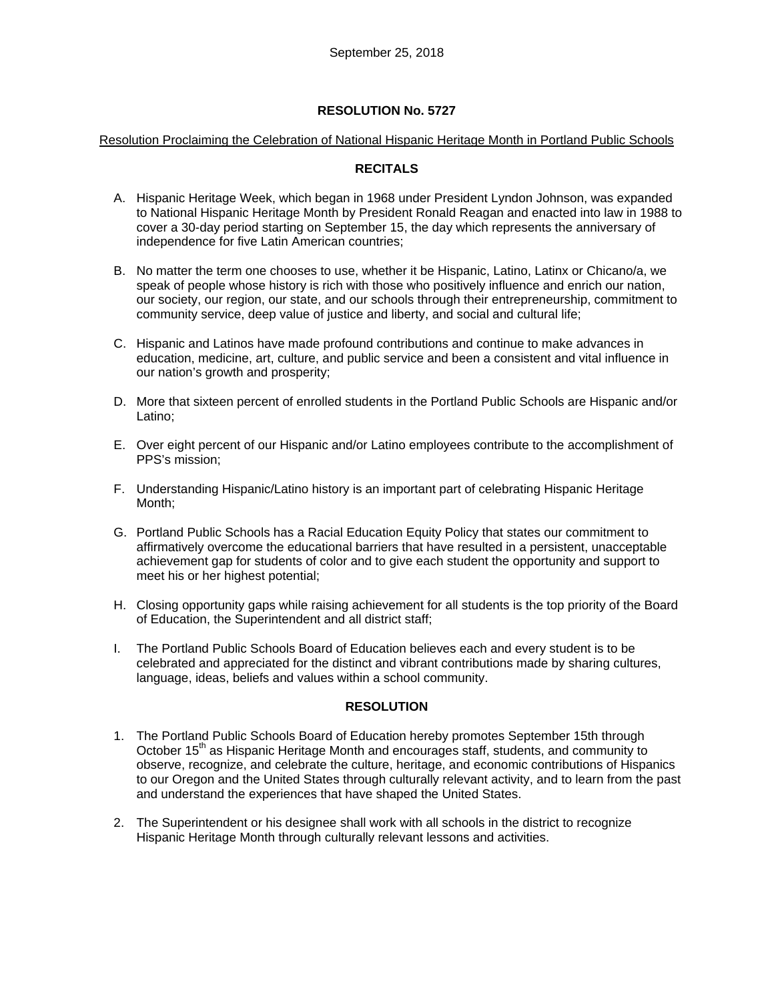#### Resolution Proclaiming the Celebration of National Hispanic Heritage Month in Portland Public Schools

### **RECITALS**

- A. Hispanic Heritage Week, which began in 1968 under President Lyndon Johnson, was expanded to National Hispanic Heritage Month by President Ronald Reagan and enacted into law in 1988 to cover a 30-day period starting on September 15, the day which represents the anniversary of independence for five Latin American countries;
- B. No matter the term one chooses to use, whether it be Hispanic, Latino, Latinx or Chicano/a, we speak of people whose history is rich with those who positively influence and enrich our nation, our society, our region, our state, and our schools through their entrepreneurship, commitment to community service, deep value of justice and liberty, and social and cultural life;
- C. Hispanic and Latinos have made profound contributions and continue to make advances in education, medicine, art, culture, and public service and been a consistent and vital influence in our nation's growth and prosperity;
- D. More that sixteen percent of enrolled students in the Portland Public Schools are Hispanic and/or Latino;
- E. Over eight percent of our Hispanic and/or Latino employees contribute to the accomplishment of PPS's mission;
- F. Understanding Hispanic/Latino history is an important part of celebrating Hispanic Heritage Month;
- G. Portland Public Schools has a Racial Education Equity Policy that states our commitment to affirmatively overcome the educational barriers that have resulted in a persistent, unacceptable achievement gap for students of color and to give each student the opportunity and support to meet his or her highest potential;
- H. Closing opportunity gaps while raising achievement for all students is the top priority of the Board of Education, the Superintendent and all district staff;
- I. The Portland Public Schools Board of Education believes each and every student is to be celebrated and appreciated for the distinct and vibrant contributions made by sharing cultures, language, ideas, beliefs and values within a school community.

### **RESOLUTION**

- 1. The Portland Public Schools Board of Education hereby promotes September 15th through October 15<sup>th</sup> as Hispanic Heritage Month and encourages staff, students, and community to observe, recognize, and celebrate the culture, heritage, and economic contributions of Hispanics to our Oregon and the United States through culturally relevant activity, and to learn from the past and understand the experiences that have shaped the United States.
- 2. The Superintendent or his designee shall work with all schools in the district to recognize Hispanic Heritage Month through culturally relevant lessons and activities.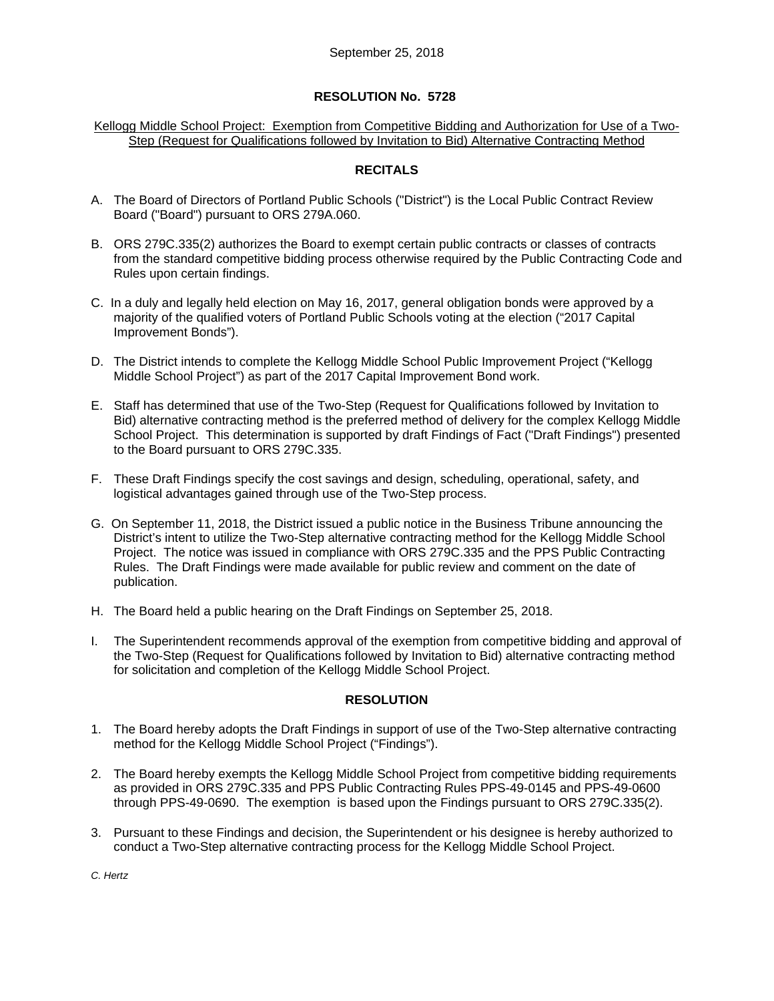#### Kellogg Middle School Project: Exemption from Competitive Bidding and Authorization for Use of a Two-Step (Request for Qualifications followed by Invitation to Bid) Alternative Contracting Method

## **RECITALS**

- A. The Board of Directors of Portland Public Schools ("District") is the Local Public Contract Review Board ("Board") pursuant to ORS 279A.060.
- B. ORS 279C.335(2) authorizes the Board to exempt certain public contracts or classes of contracts from the standard competitive bidding process otherwise required by the Public Contracting Code and Rules upon certain findings.
- C. In a duly and legally held election on May 16, 2017, general obligation bonds were approved by a majority of the qualified voters of Portland Public Schools voting at the election ("2017 Capital Improvement Bonds").
- D. The District intends to complete the Kellogg Middle School Public Improvement Project ("Kellogg Middle School Project") as part of the 2017 Capital Improvement Bond work.
- E. Staff has determined that use of the Two-Step (Request for Qualifications followed by Invitation to Bid) alternative contracting method is the preferred method of delivery for the complex Kellogg Middle School Project. This determination is supported by draft Findings of Fact ("Draft Findings") presented to the Board pursuant to ORS 279C.335.
- F. These Draft Findings specify the cost savings and design, scheduling, operational, safety, and logistical advantages gained through use of the Two-Step process.
- G. On September 11, 2018, the District issued a public notice in the Business Tribune announcing the District's intent to utilize the Two-Step alternative contracting method for the Kellogg Middle School Project. The notice was issued in compliance with ORS 279C.335 and the PPS Public Contracting Rules. The Draft Findings were made available for public review and comment on the date of publication.
- H. The Board held a public hearing on the Draft Findings on September 25, 2018.
- I. The Superintendent recommends approval of the exemption from competitive bidding and approval of the Two-Step (Request for Qualifications followed by Invitation to Bid) alternative contracting method for solicitation and completion of the Kellogg Middle School Project.

### **RESOLUTION**

- 1. The Board hereby adopts the Draft Findings in support of use of the Two-Step alternative contracting method for the Kellogg Middle School Project ("Findings").
- 2. The Board hereby exempts the Kellogg Middle School Project from competitive bidding requirements as provided in ORS 279C.335 and PPS Public Contracting Rules PPS-49-0145 and PPS-49-0600 through PPS-49-0690. The exemption is based upon the Findings pursuant to ORS 279C.335(2).
- 3. Pursuant to these Findings and decision, the Superintendent or his designee is hereby authorized to conduct a Two-Step alternative contracting process for the Kellogg Middle School Project.

*C. Hertz*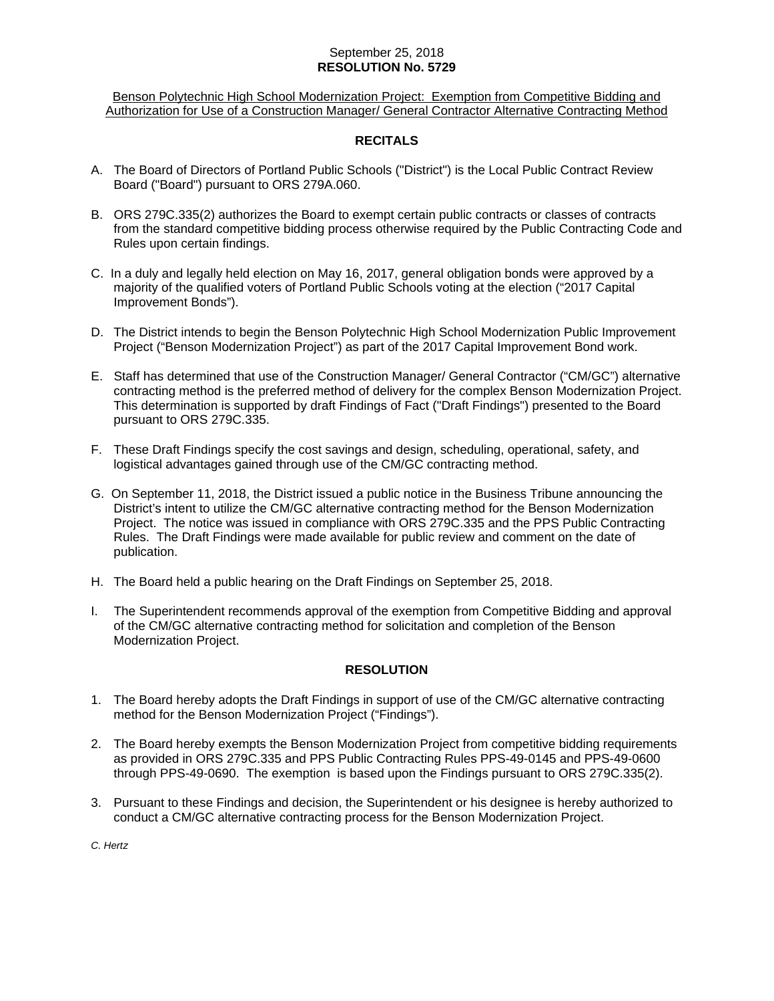### September 25, 2018 **RESOLUTION No. 5729**

Benson Polytechnic High School Modernization Project: Exemption from Competitive Bidding and Authorization for Use of a Construction Manager/ General Contractor Alternative Contracting Method

### **RECITALS**

- A. The Board of Directors of Portland Public Schools ("District") is the Local Public Contract Review Board ("Board") pursuant to ORS 279A.060.
- B. ORS 279C.335(2) authorizes the Board to exempt certain public contracts or classes of contracts from the standard competitive bidding process otherwise required by the Public Contracting Code and Rules upon certain findings.
- C. In a duly and legally held election on May 16, 2017, general obligation bonds were approved by a majority of the qualified voters of Portland Public Schools voting at the election ("2017 Capital Improvement Bonds").
- D. The District intends to begin the Benson Polytechnic High School Modernization Public Improvement Project ("Benson Modernization Project") as part of the 2017 Capital Improvement Bond work.
- E. Staff has determined that use of the Construction Manager/ General Contractor ("CM/GC") alternative contracting method is the preferred method of delivery for the complex Benson Modernization Project. This determination is supported by draft Findings of Fact ("Draft Findings") presented to the Board pursuant to ORS 279C.335.
- F. These Draft Findings specify the cost savings and design, scheduling, operational, safety, and logistical advantages gained through use of the CM/GC contracting method.
- G. On September 11, 2018, the District issued a public notice in the Business Tribune announcing the District's intent to utilize the CM/GC alternative contracting method for the Benson Modernization Project. The notice was issued in compliance with ORS 279C.335 and the PPS Public Contracting Rules. The Draft Findings were made available for public review and comment on the date of publication.
- H. The Board held a public hearing on the Draft Findings on September 25, 2018.
- I. The Superintendent recommends approval of the exemption from Competitive Bidding and approval of the CM/GC alternative contracting method for solicitation and completion of the Benson Modernization Project.

### **RESOLUTION**

- 1. The Board hereby adopts the Draft Findings in support of use of the CM/GC alternative contracting method for the Benson Modernization Project ("Findings").
- 2. The Board hereby exempts the Benson Modernization Project from competitive bidding requirements as provided in ORS 279C.335 and PPS Public Contracting Rules PPS-49-0145 and PPS-49-0600 through PPS-49-0690. The exemption is based upon the Findings pursuant to ORS 279C.335(2).
- 3. Pursuant to these Findings and decision, the Superintendent or his designee is hereby authorized to conduct a CM/GC alternative contracting process for the Benson Modernization Project.

*C. Hertz*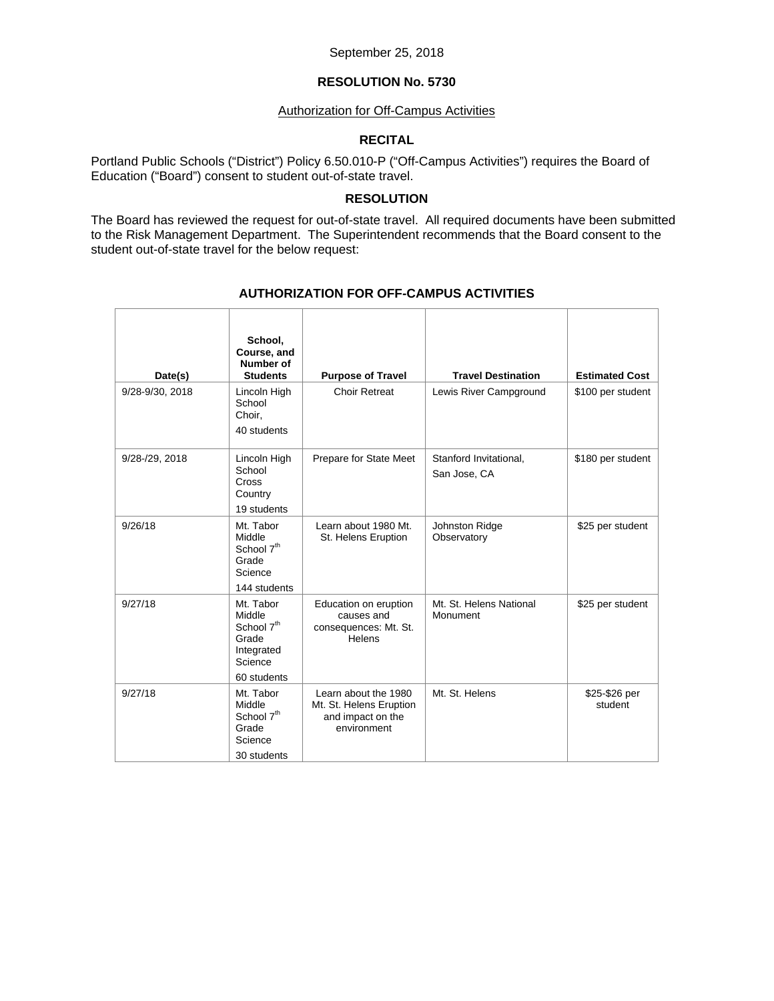#### September 25, 2018

### **RESOLUTION No. 5730**

#### Authorization for Off-Campus Activities

## **RECITAL**

Portland Public Schools ("District") Policy 6.50.010-P ("Off-Campus Activities") requires the Board of Education ("Board") consent to student out-of-state travel.

#### **RESOLUTION**

The Board has reviewed the request for out-of-state travel. All required documents have been submitted to the Risk Management Department. The Superintendent recommends that the Board consent to the student out-of-state travel for the below request:

| Date(s)         | School,<br>Course, and<br>Number of<br><b>Students</b>                                         | <b>Purpose of Travel</b>                                                            | <b>Travel Destination</b>              | <b>Estimated Cost</b>    |
|-----------------|------------------------------------------------------------------------------------------------|-------------------------------------------------------------------------------------|----------------------------------------|--------------------------|
| 9/28-9/30, 2018 | Lincoln High<br>School<br>Choir.<br>40 students                                                | <b>Choir Retreat</b>                                                                | Lewis River Campground                 | \$100 per student        |
| 9/28-/29, 2018  | Lincoln High<br>School<br><b>Cross</b><br>Country<br>19 students                               | Prepare for State Meet                                                              | Stanford Invitational,<br>San Jose, CA | \$180 per student        |
| 9/26/18         | Mt. Tabor<br>Middle<br>School 7 <sup>th</sup><br>Grade<br>Science<br>144 students              | Learn about 1980 Mt.<br>St. Helens Eruption                                         | Johnston Ridge<br>Observatory          | \$25 per student         |
| 9/27/18         | Mt. Tabor<br>Middle<br>School 7 <sup>th</sup><br>Grade<br>Integrated<br>Science<br>60 students | Education on eruption<br>causes and<br>consequences: Mt. St.<br>Helens              | Mt. St. Helens National<br>Monument    | \$25 per student         |
| 9/27/18         | Mt. Tabor<br>Middle<br>School 7 <sup>th</sup><br>Grade<br>Science<br>30 students               | Learn about the 1980<br>Mt. St. Helens Eruption<br>and impact on the<br>environment | Mt. St. Helens                         | \$25-\$26 per<br>student |

## **AUTHORIZATION FOR OFF-CAMPUS ACTIVITIES**